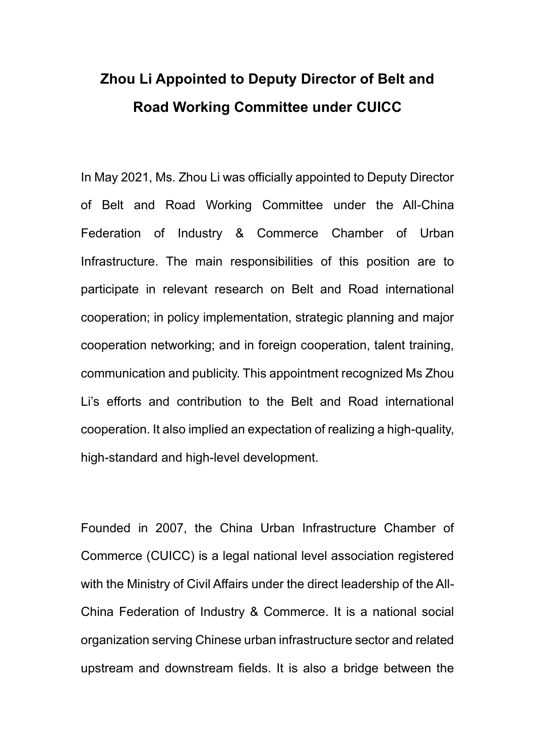## **Zhou Li Appointed to Deputy Director of Belt and Road Working Committee under CUICC**

In May 2021, Ms. Zhou Li was officially appointed to Deputy Director of Belt and Road Working Committee under the All-China Federation of Industry & Commerce Chamber of Urban Infrastructure. The main responsibilities of this position are to participate in relevant research on Belt and Road international cooperation; in policy implementation, strategic planning and major cooperation networking; and in foreign cooperation, talent training, communication and publicity. This appointment recognized Ms Zhou Li's efforts and contribution to the Belt and Road international cooperation. It also implied an expectation of realizing a high-quality, high-standard and high-level development.

Founded in 2007, the China Urban Infrastructure Chamber of Commerce (CUICC) is a legal national level association registered with the Ministry of Civil Affairs under the direct leadership of the All-China Federation of Industry & Commerce. It is a national social organization serving Chinese urban infrastructure sector and related upstream and downstream fields. It is also a bridge between the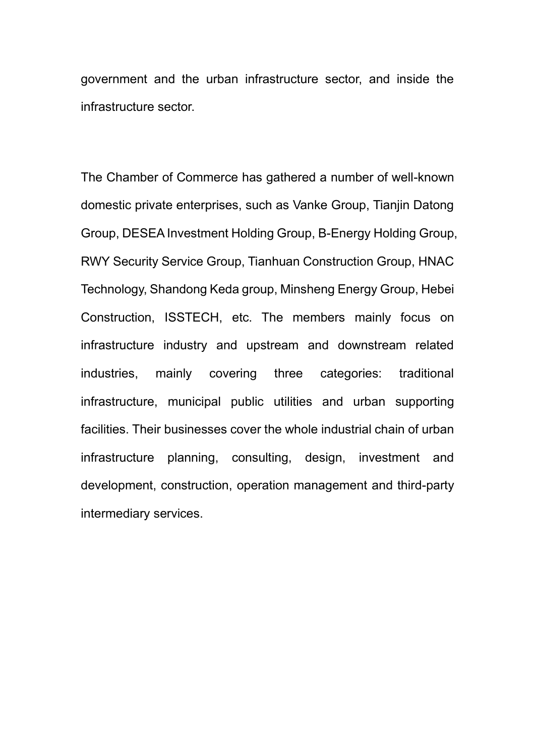government and the urban infrastructure sector, and inside the infrastructure sector.

The Chamber of Commerce has gathered a number of well-known domestic private enterprises, such as Vanke Group, Tianjin Datong Group, DESEA Investment Holding Group, B-Energy Holding Group, RWY Security Service Group, Tianhuan Construction Group, HNAC Technology, Shandong Keda group, Minsheng Energy Group, Hebei Construction, ISSTECH, etc. The members mainly focus on infrastructure industry and upstream and downstream related industries, mainly covering three categories: traditional infrastructure, municipal public utilities and urban supporting facilities. Their businesses cover the whole industrial chain of urban infrastructure planning, consulting, design, investment and development, construction, operation management and third-party intermediary services.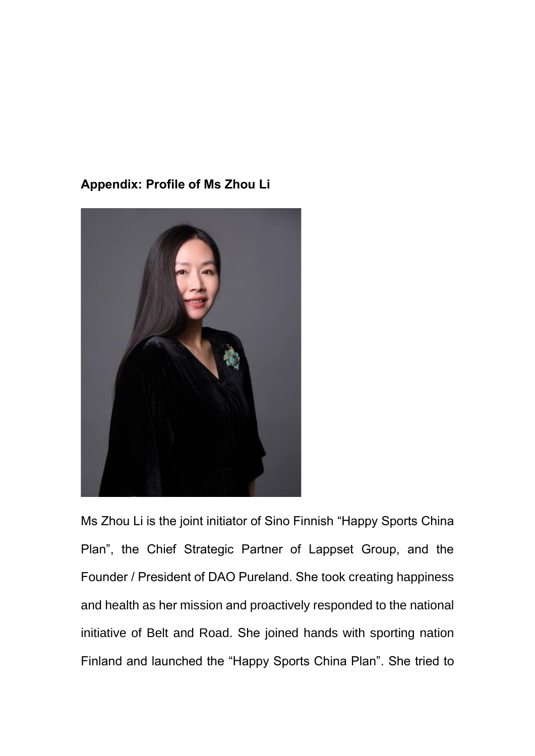## **Appendix: Profile of Ms Zhou Li**



Ms Zhou Li is the joint initiator of Sino Finnish "Happy Sports China Plan", the Chief Strategic Partner of Lappset Group, and the Founder / President of DAO Pureland. She took creating happiness and health as her mission and proactively responded to the national initiative of Belt and Road. She joined hands with sporting nation Finland and launched the "Happy Sports China Plan". She tried to